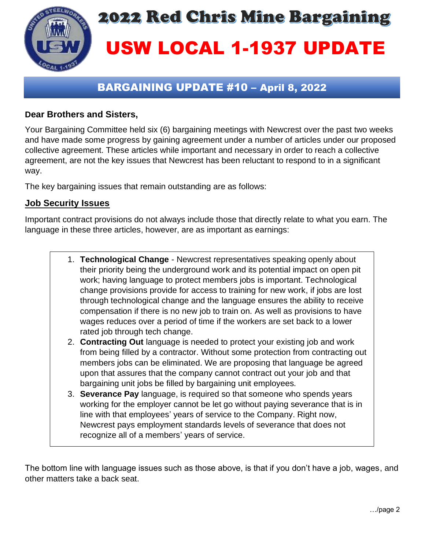

# **2022 Red Chris Mine Bargaining** USW LOCAL 1-1937 UPDATE

## BARGAINING UPDATE #10 – April 8, 2022

#### **Dear Brothers and Sisters,**

Your Bargaining Committee held six (6) bargaining meetings with Newcrest over the past two weeks and have made some progress by gaining agreement under a number of articles under our proposed collective agreement. These articles while important and necessary in order to reach a collective agreement, are not the key issues that Newcrest has been reluctant to respond to in a significant way.

The key bargaining issues that remain outstanding are as follows:

#### **Job Security Issues**

Important contract provisions do not always include those that directly relate to what you earn. The language in these three articles, however, are as important as earnings:

- 1. **Technological Change** Newcrest representatives speaking openly about their priority being the underground work and its potential impact on open pit work; having language to protect members jobs is important. Technological change provisions provide for access to training for new work, if jobs are lost through technological change and the language ensures the ability to receive compensation if there is no new job to train on. As well as provisions to have wages reduces over a period of time if the workers are set back to a lower rated job through tech change.
- 2. **Contracting Out** language is needed to protect your existing job and work from being filled by a contractor. Without some protection from contracting out members jobs can be eliminated. We are proposing that language be agreed upon that assures that the company cannot contract out your job and that bargaining unit jobs be filled by bargaining unit employees.
- 3. **Severance Pay** language, is required so that someone who spends years working for the employer cannot be let go without paying severance that is in line with that employees' years of service to the Company. Right now, Newcrest pays employment standards levels of severance that does not recognize all of a members' years of service.

The bottom line with language issues such as those above, is that if you don't have a job, wages, and other matters take a back seat.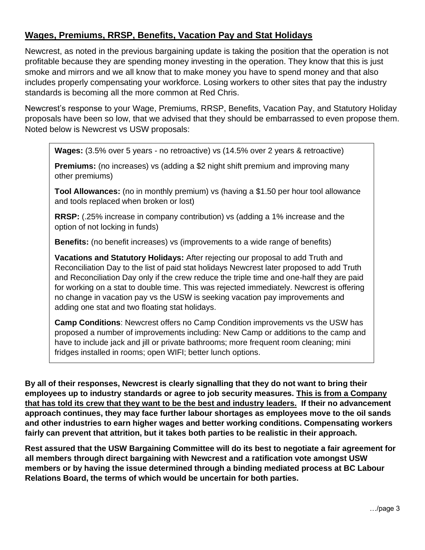#### **Wages, Premiums, RRSP, Benefits, Vacation Pay and Stat Holidays**

Newcrest, as noted in the previous bargaining update is taking the position that the operation is not profitable because they are spending money investing in the operation. They know that this is just smoke and mirrors and we all know that to make money you have to spend money and that also includes properly compensating your workforce. Losing workers to other sites that pay the industry standards is becoming all the more common at Red Chris.

Newcrest's response to your Wage, Premiums, RRSP, Benefits, Vacation Pay, and Statutory Holiday proposals have been so low, that we advised that they should be embarrassed to even propose them. Noted below is Newcrest vs USW proposals:

**Wages:** (3.5% over 5 years - no retroactive) vs (14.5% over 2 years & retroactive)

**Premiums:** (no increases) vs (adding a \$2 night shift premium and improving many other premiums)

**Tool Allowances:** (no in monthly premium) vs (having a \$1.50 per hour tool allowance and tools replaced when broken or lost)

**RRSP:** (.25% increase in company contribution) vs (adding a 1% increase and the option of not locking in funds)

**Benefits:** (no benefit increases) vs (improvements to a wide range of benefits)

**Vacations and Statutory Holidays:** After rejecting our proposal to add Truth and Reconciliation Day to the list of paid stat holidays Newcrest later proposed to add Truth and Reconciliation Day only if the crew reduce the triple time and one-half they are paid for working on a stat to double time. This was rejected immediately. Newcrest is offering no change in vacation pay vs the USW is seeking vacation pay improvements and adding one stat and two floating stat holidays.

**Camp Conditions**: Newcrest offers no Camp Condition improvements vs the USW has proposed a number of improvements including: New Camp or additions to the camp and have to include jack and jill or private bathrooms; more frequent room cleaning; mini fridges installed in rooms; open WIFI; better lunch options.

**By all of their responses, Newcrest is clearly signalling that they do not want to bring their employees up to industry standards or agree to job security measures. This is from a Company that has told its crew that they want to be the best and industry leaders. If their no advancement approach continues, they may face further labour shortages as employees move to the oil sands and other industries to earn higher wages and better working conditions. Compensating workers fairly can prevent that attrition, but it takes both parties to be realistic in their approach.**

**Rest assured that the USW Bargaining Committee will do its best to negotiate a fair agreement for all members through direct bargaining with Newcrest and a ratification vote amongst USW members or by having the issue determined through a binding mediated process at BC Labour Relations Board, the terms of which would be uncertain for both parties.**